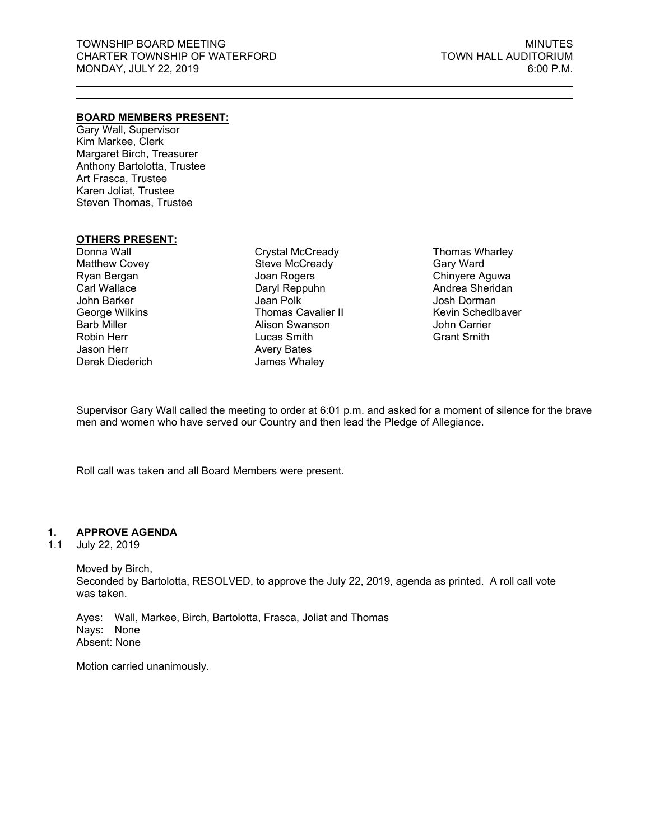#### **BOARD MEMBERS PRESENT:**

Gary Wall, Supervisor Kim Markee, Clerk Margaret Birch, Treasurer Anthony Bartolotta, Trustee Art Frasca, Trustee Karen Joliat, Trustee Steven Thomas, Trustee

### **OTHERS PRESENT:**

Donna Wall Matthew Covey Ryan Bergan Carl Wallace John Barker George Wilkins Barb Miller Robin Herr Jason Herr Derek Diederich

Crystal McCready Steve McCready Joan Rogers Daryl Reppuhn Jean Polk Thomas Cavalier II Alison Swanson Lucas Smith Avery Bates James Whaley

Thomas Wharley Gary Ward Chinyere Aguwa Andrea Sheridan Josh Dorman Kevin Schedlbaver John Carrier Grant Smith

Supervisor Gary Wall called the meeting to order at 6:01 p.m. and asked for a moment of silence for the brave men and women who have served our Country and then lead the Pledge of Allegiance.

Roll call was taken and all Board Members were present.

### **1. APPROVE AGENDA**

1.1 July 22, 2019

Moved by Birch, Seconded by Bartolotta, RESOLVED, to approve the July 22, 2019, agenda as printed. A roll call vote was taken.

Ayes: Wall, Markee, Birch, Bartolotta, Frasca, Joliat and Thomas Nays: None Absent: None

Motion carried unanimously.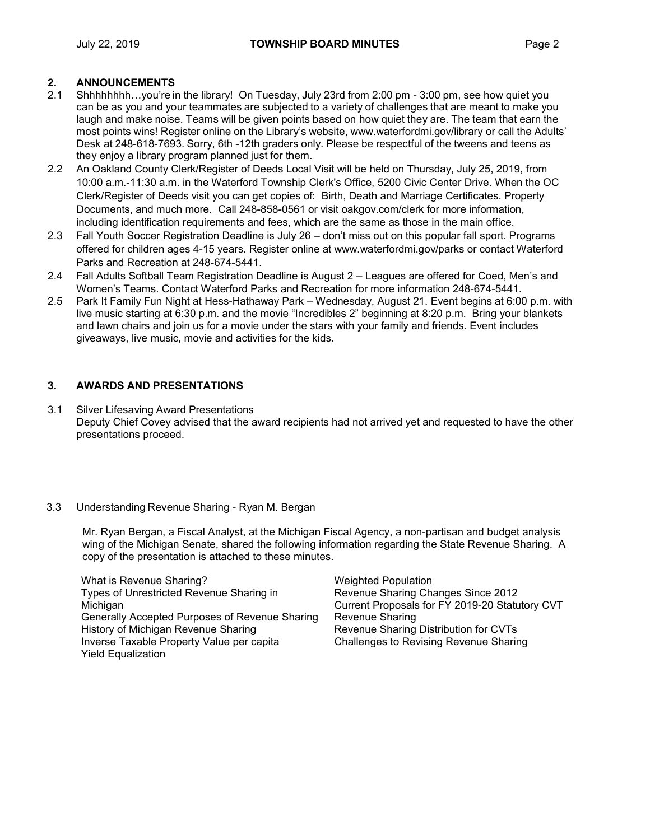# **2. ANNOUNCEMENTS**

- 2.1 Shhhhhhhh…you're in the library! On Tuesday, July 23rd from 2:00 pm 3:00 pm, see how quiet you can be as you and your teammates are subjected to a variety of challenges that are meant to make you laugh and make noise. Teams will be given points based on how quiet they are. The team that earn the most points wins! Register online on the Library's website, www.waterfordmi.gov/library or call the Adults' Desk at 248-618-7693. Sorry, 6th -12th graders only. Please be respectful of the tweens and teens as they enjoy a library program planned just for them.
- 2.2 An Oakland County Clerk/Register of Deeds Local Visit will be held on Thursday, July 25, 2019, from 10:00 a.m.-11:30 a.m. in the Waterford Township Clerk's Office, 5200 Civic Center Drive. When the OC Clerk/Register of Deeds visit you can get copies of: Birth, Death and Marriage Certificates. Property Documents, and much more. Call 248-858-0561 or visit oakgov.com/clerk for more information, including identification requirements and fees, which are the same as those in the main office.
- 2.3 Fall Youth Soccer Registration Deadline is July 26 don't miss out on this popular fall sport. Programs offered for children ages 4-15 years. Register online at www.waterfordmi.gov/parks or contact Waterford Parks and Recreation at 248-674-5441.
- 2.4 Fall Adults Softball Team Registration Deadline is August 2 Leagues are offered for Coed, Men's and Women's Teams. Contact Waterford Parks and Recreation for more information 248-674-5441.
- 2.5 Park It Family Fun Night at Hess-Hathaway Park Wednesday, August 21. Event begins at 6:00 p.m. with live music starting at 6:30 p.m. and the movie "Incredibles 2" beginning at 8:20 p.m. Bring your blankets and lawn chairs and join us for a movie under the stars with your family and friends. Event includes giveaways, live music, movie and activities for the kids.

# **3. AWARDS AND PRESENTATIONS**

3.1 Silver Lifesaving Award Presentations Deputy Chief Covey advised that the award recipients had not arrived yet and requested to have the other presentations proceed.

### 3.3 Understanding Revenue Sharing - Ryan M. Bergan

 Mr. Ryan Bergan, a Fiscal Analyst, at the Michigan Fiscal Agency, a non-partisan and budget analysis wing of the Michigan Senate, shared the following information regarding the State Revenue Sharing. A copy of the presentation is attached to these minutes.

What is Revenue Sharing? Types of Unrestricted Revenue Sharing in Michigan Generally Accepted Purposes of Revenue Sharing History of Michigan Revenue Sharing Inverse Taxable Property Value per capita Yield Equalization

Weighted Population Revenue Sharing Changes Since 2012 Current Proposals for FY 2019-20 Statutory CVT Revenue Sharing Revenue Sharing Distribution for CVTs Challenges to Revising Revenue Sharing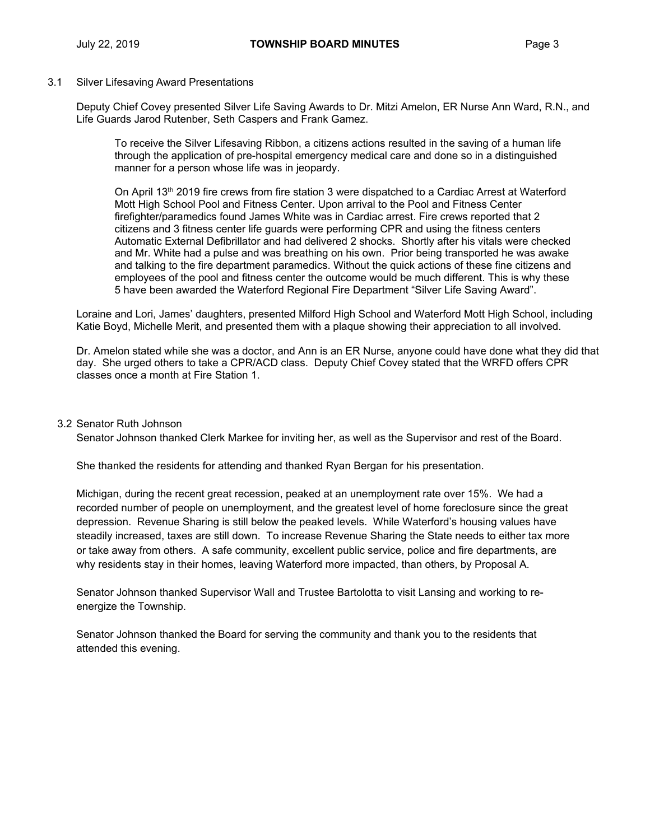#### 3.1 Silver Lifesaving Award Presentations

 Deputy Chief Covey presented Silver Life Saving Awards to Dr. Mitzi Amelon, ER Nurse Ann Ward, R.N., and Life Guards Jarod Rutenber, Seth Caspers and Frank Gamez.

To receive the Silver Lifesaving Ribbon, a citizens actions resulted in the saving of a human life through the application of pre-hospital emergency medical care and done so in a distinguished manner for a person whose life was in jeopardy.

On April 13th 2019 fire crews from fire station 3 were dispatched to a Cardiac Arrest at Waterford Mott High School Pool and Fitness Center. Upon arrival to the Pool and Fitness Center firefighter/paramedics found James White was in Cardiac arrest. Fire crews reported that 2 citizens and 3 fitness center life guards were performing CPR and using the fitness centers Automatic External Defibrillator and had delivered 2 shocks. Shortly after his vitals were checked and Mr. White had a pulse and was breathing on his own. Prior being transported he was awake and talking to the fire department paramedics. Without the quick actions of these fine citizens and employees of the pool and fitness center the outcome would be much different. This is why these 5 have been awarded the Waterford Regional Fire Department "Silver Life Saving Award".

Loraine and Lori, James' daughters, presented Milford High School and Waterford Mott High School, including Katie Boyd, Michelle Merit, and presented them with a plaque showing their appreciation to all involved.

Dr. Amelon stated while she was a doctor, and Ann is an ER Nurse, anyone could have done what they did that day. She urged others to take a CPR/ACD class. Deputy Chief Covey stated that the WRFD offers CPR classes once a month at Fire Station 1.

#### 3.2 Senator Ruth Johnson

Senator Johnson thanked Clerk Markee for inviting her, as well as the Supervisor and rest of the Board.

She thanked the residents for attending and thanked Ryan Bergan for his presentation.

Michigan, during the recent great recession, peaked at an unemployment rate over 15%. We had a recorded number of people on unemployment, and the greatest level of home foreclosure since the great depression. Revenue Sharing is still below the peaked levels. While Waterford's housing values have steadily increased, taxes are still down. To increase Revenue Sharing the State needs to either tax more or take away from others. A safe community, excellent public service, police and fire departments, are why residents stay in their homes, leaving Waterford more impacted, than others, by Proposal A.

Senator Johnson thanked Supervisor Wall and Trustee Bartolotta to visit Lansing and working to reenergize the Township.

Senator Johnson thanked the Board for serving the community and thank you to the residents that attended this evening.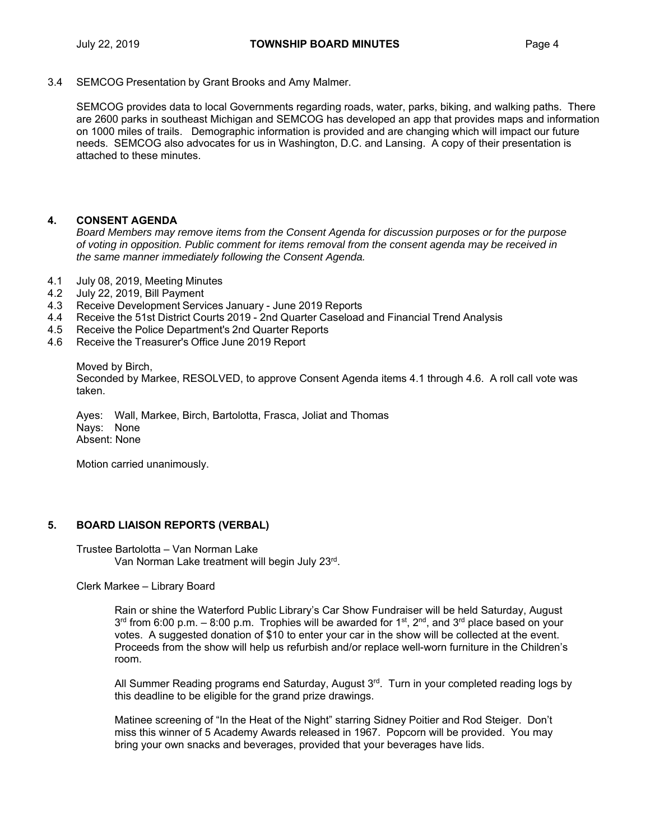3.4 SEMCOG Presentation by Grant Brooks and Amy Malmer.

SEMCOG provides data to local Governments regarding roads, water, parks, biking, and walking paths. There are 2600 parks in southeast Michigan and SEMCOG has developed an app that provides maps and information on 1000 miles of trails. Demographic information is provided and are changing which will impact our future needs. SEMCOG also advocates for us in Washington, D.C. and Lansing. A copy of their presentation is attached to these minutes.

### **4. CONSENT AGENDA**

*Board Members may remove items from the Consent Agenda for discussion purposes or for the purpose of voting in opposition. Public comment for items removal from the consent agenda may be received in the same manner immediately following the Consent Agenda.* 

- 4.1 July 08, 2019, Meeting Minutes
- 4.2 July 22, 2019, Bill Payment
- 4.3 Receive Development Services January June 2019 Reports
- 4.4 Receive the 51st District Courts 2019 2nd Quarter Caseload and Financial Trend Analysis
- 4.5 Receive the Police Department's 2nd Quarter Reports
- 4.6 Receive the Treasurer's Office June 2019 Report

Moved by Birch,

Seconded by Markee, RESOLVED, to approve Consent Agenda items 4.1 through 4.6. A roll call vote was taken.

Ayes: Wall, Markee, Birch, Bartolotta, Frasca, Joliat and Thomas Nays: None Absent: None

Motion carried unanimously.

#### **5. BOARD LIAISON REPORTS (VERBAL)**

Trustee Bartolotta – Van Norman Lake Van Norman Lake treatment will begin July 23rd.

Clerk Markee – Library Board

Rain or shine the Waterford Public Library's Car Show Fundraiser will be held Saturday, August  $3^{rd}$  from 6:00 p.m. – 8:00 p.m. Trophies will be awarded for 1<sup>st</sup>, 2<sup>nd</sup>, and 3<sup>rd</sup> place based on your votes. A suggested donation of \$10 to enter your car in the show will be collected at the event. Proceeds from the show will help us refurbish and/or replace well-worn furniture in the Children's room.

All Summer Reading programs end Saturday, August  $3<sup>rd</sup>$ . Turn in your completed reading logs by this deadline to be eligible for the grand prize drawings.

Matinee screening of "In the Heat of the Night" starring Sidney Poitier and Rod Steiger. Don't miss this winner of 5 Academy Awards released in 1967. Popcorn will be provided. You may bring your own snacks and beverages, provided that your beverages have lids.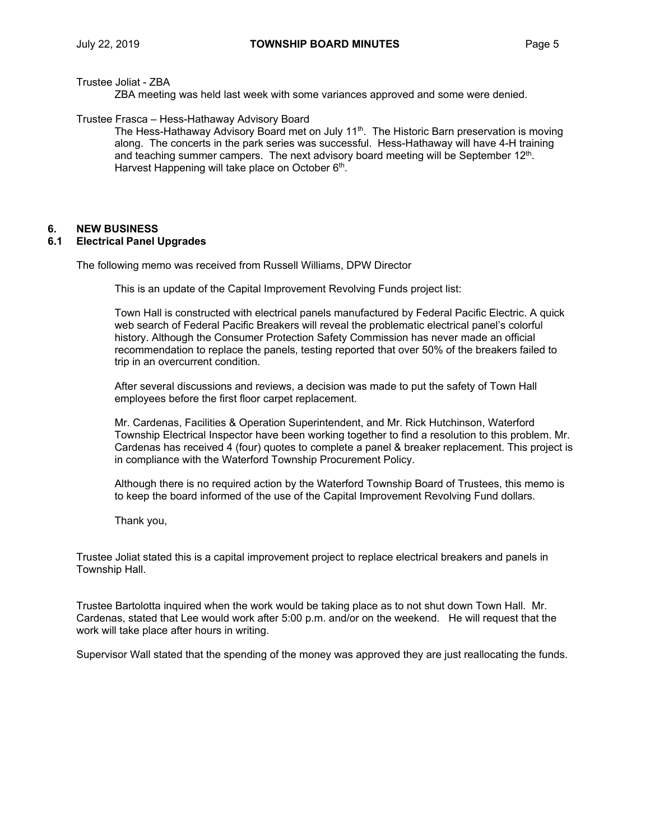Trustee Joliat - ZBA

ZBA meeting was held last week with some variances approved and some were denied.

Trustee Frasca – Hess-Hathaway Advisory Board

The Hess-Hathaway Advisory Board met on July  $11<sup>th</sup>$ . The Historic Barn preservation is moving along. The concerts in the park series was successful. Hess-Hathaway will have 4-H training and teaching summer campers. The next advisory board meeting will be September 12th. Harvest Happening will take place on October  $6<sup>th</sup>$ .

# **6. NEW BUSINESS**

### **6.1 Electrical Panel Upgrades**

The following memo was received from Russell Williams, DPW Director

This is an update of the Capital Improvement Revolving Funds project list:

Town Hall is constructed with electrical panels manufactured by Federal Pacific Electric. A quick web search of Federal Pacific Breakers will reveal the problematic electrical panel's colorful history. Although the Consumer Protection Safety Commission has never made an official recommendation to replace the panels, testing reported that over 50% of the breakers failed to trip in an overcurrent condition.

After several discussions and reviews, a decision was made to put the safety of Town Hall employees before the first floor carpet replacement.

Mr. Cardenas, Facilities & Operation Superintendent, and Mr. Rick Hutchinson, Waterford Township Electrical Inspector have been working together to find a resolution to this problem. Mr. Cardenas has received 4 (four) quotes to complete a panel & breaker replacement. This project is in compliance with the Waterford Township Procurement Policy.

Although there is no required action by the Waterford Township Board of Trustees, this memo is to keep the board informed of the use of the Capital Improvement Revolving Fund dollars.

Thank you,

Trustee Joliat stated this is a capital improvement project to replace electrical breakers and panels in Township Hall.

Trustee Bartolotta inquired when the work would be taking place as to not shut down Town Hall. Mr. Cardenas, stated that Lee would work after 5:00 p.m. and/or on the weekend. He will request that the work will take place after hours in writing.

Supervisor Wall stated that the spending of the money was approved they are just reallocating the funds.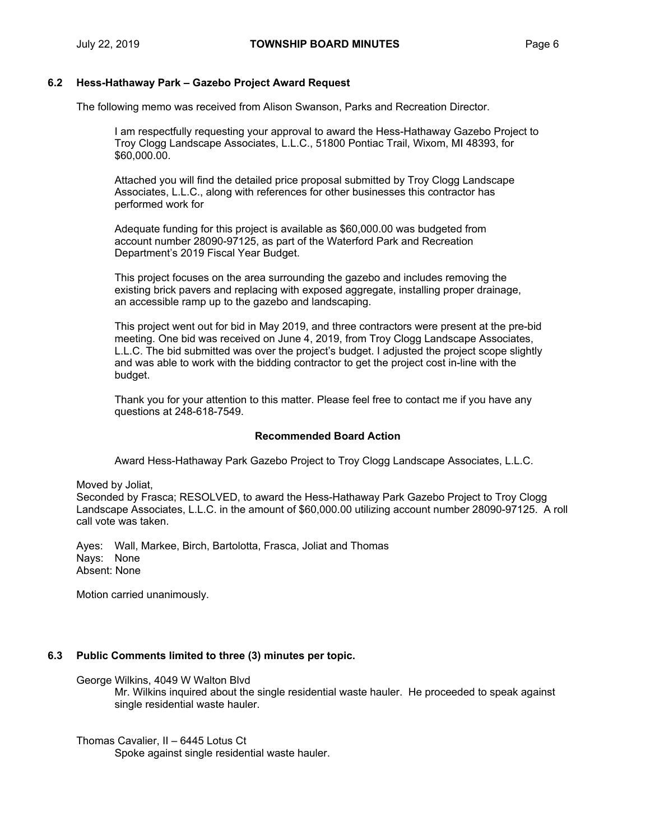#### **6.2 Hess-Hathaway Park – Gazebo Project Award Request**

The following memo was received from Alison Swanson, Parks and Recreation Director.

I am respectfully requesting your approval to award the Hess-Hathaway Gazebo Project to Troy Clogg Landscape Associates, L.L.C., 51800 Pontiac Trail, Wixom, MI 48393, for \$60,000.00.

Attached you will find the detailed price proposal submitted by Troy Clogg Landscape Associates, L.L.C., along with references for other businesses this contractor has performed work for

Adequate funding for this project is available as \$60,000.00 was budgeted from account number 28090-97125, as part of the Waterford Park and Recreation Department's 2019 Fiscal Year Budget.

This project focuses on the area surrounding the gazebo and includes removing the existing brick pavers and replacing with exposed aggregate, installing proper drainage, an accessible ramp up to the gazebo and landscaping.

This project went out for bid in May 2019, and three contractors were present at the pre-bid meeting. One bid was received on June 4, 2019, from Troy Clogg Landscape Associates, L.L.C. The bid submitted was over the project's budget. I adjusted the project scope slightly and was able to work with the bidding contractor to get the project cost in-line with the budget.

Thank you for your attention to this matter. Please feel free to contact me if you have any questions at 248-618-7549.

#### **Recommended Board Action**

Award Hess-Hathaway Park Gazebo Project to Troy Clogg Landscape Associates, L.L.C.

Moved by Joliat,

Seconded by Frasca; RESOLVED, to award the Hess-Hathaway Park Gazebo Project to Troy Clogg Landscape Associates, L.L.C. in the amount of \$60,000.00 utilizing account number 28090-97125. A roll call vote was taken.

Ayes: Wall, Markee, Birch, Bartolotta, Frasca, Joliat and Thomas Nays: None Absent: None

Motion carried unanimously.

### **6.3 Public Comments limited to three (3) minutes per topic.**

George Wilkins, 4049 W Walton Blvd

Mr. Wilkins inquired about the single residential waste hauler. He proceeded to speak against single residential waste hauler.

Thomas Cavalier, II – 6445 Lotus Ct

Spoke against single residential waste hauler.